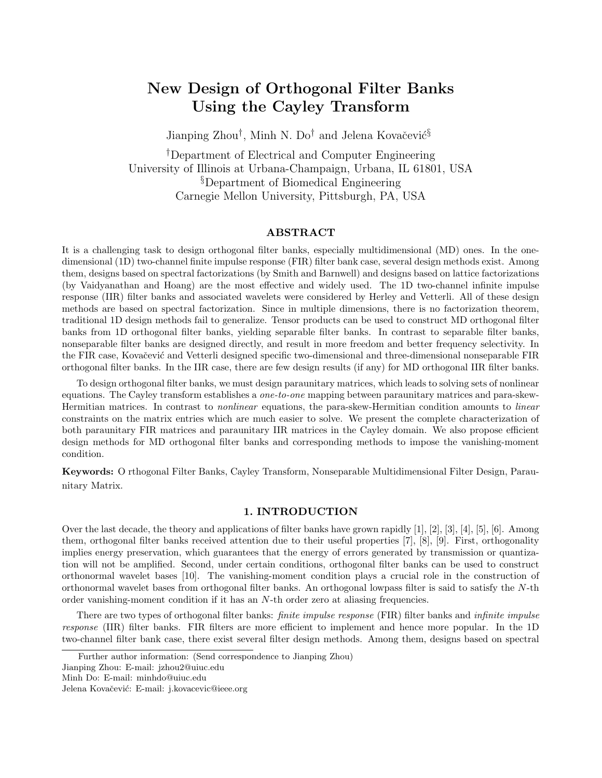# New Design of Orthogonal Filter Banks Using the Cayley Transform

Jianping Zhou<sup>†</sup>, Minh N. Do<sup>†</sup> and Jelena Kovačević<sup>§</sup>

†Department of Electrical and Computer Engineering University of Illinois at Urbana-Champaign, Urbana, IL 61801, USA §Department of Biomedical Engineering Carnegie Mellon University, Pittsburgh, PA, USA

# ABSTRACT

It is a challenging task to design orthogonal filter banks, especially multidimensional (MD) ones. In the onedimensional (1D) two-channel finite impulse response (FIR) filter bank case, several design methods exist. Among them, designs based on spectral factorizations (by Smith and Barnwell) and designs based on lattice factorizations (by Vaidyanathan and Hoang) are the most effective and widely used. The 1D two-channel infinite impulse response (IIR) filter banks and associated wavelets were considered by Herley and Vetterli. All of these design methods are based on spectral factorization. Since in multiple dimensions, there is no factorization theorem, traditional 1D design methods fail to generalize. Tensor products can be used to construct MD orthogonal filter banks from 1D orthogonal filter banks, yielding separable filter banks. In contrast to separable filter banks, nonseparable filter banks are designed directly, and result in more freedom and better frequency selectivity. In the FIR case, Kovačević and Vetterli designed specific two-dimensional and three-dimensional nonseparable FIR orthogonal filter banks. In the IIR case, there are few design results (if any) for MD orthogonal IIR filter banks.

To design orthogonal filter banks, we must design paraunitary matrices, which leads to solving sets of nonlinear equations. The Cayley transform establishes a one-to-one mapping between paraunitary matrices and para-skew-Hermitian matrices. In contrast to nonlinear equations, the para-skew-Hermitian condition amounts to linear constraints on the matrix entries which are much easier to solve. We present the complete characterization of both paraunitary FIR matrices and paraunitary IIR matrices in the Cayley domain. We also propose efficient design methods for MD orthogonal filter banks and corresponding methods to impose the vanishing-moment condition.

Keywords: O rthogonal Filter Banks, Cayley Transform, Nonseparable Multidimensional Filter Design, Paraunitary Matrix.

# 1. INTRODUCTION

Over the last decade, the theory and applications of filter banks have grown rapidly [1], [2], [3], [4], [5], [6]. Among them, orthogonal filter banks received attention due to their useful properties [7], [8], [9]. First, orthogonality implies energy preservation, which guarantees that the energy of errors generated by transmission or quantization will not be amplified. Second, under certain conditions, orthogonal filter banks can be used to construct orthonormal wavelet bases [10]. The vanishing-moment condition plays a crucial role in the construction of orthonormal wavelet bases from orthogonal filter banks. An orthogonal lowpass filter is said to satisfy the N-th order vanishing-moment condition if it has an N-th order zero at aliasing frequencies.

There are two types of orthogonal filter banks: *finite impulse response* (FIR) filter banks and *infinite impulse* response (IIR) filter banks. FIR filters are more efficient to implement and hence more popular. In the 1D two-channel filter bank case, there exist several filter design methods. Among them, designs based on spectral

Further author information: (Send correspondence to Jianping Zhou)

Jianping Zhou: E-mail: jzhou2@uiuc.edu

Minh Do: E-mail: minhdo@uiuc.edu

Jelena Kovačević: E-mail: j.kovacevic@ieee.org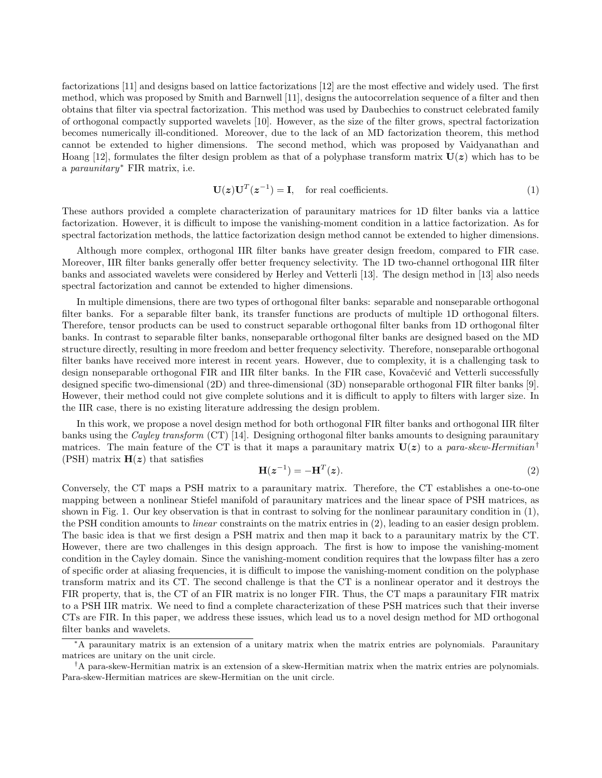factorizations [11] and designs based on lattice factorizations [12] are the most effective and widely used. The first method, which was proposed by Smith and Barnwell [11], designs the autocorrelation sequence of a filter and then obtains that filter via spectral factorization. This method was used by Daubechies to construct celebrated family of orthogonal compactly supported wavelets [10]. However, as the size of the filter grows, spectral factorization becomes numerically ill-conditioned. Moreover, due to the lack of an MD factorization theorem, this method cannot be extended to higher dimensions. The second method, which was proposed by Vaidyanathan and Hoang [12], formulates the filter design problem as that of a polyphase transform matrix  $U(z)$  which has to be a paraunitary<sup>∗</sup> FIR matrix, i.e.

$$
\mathbf{U}(\mathbf{z})\mathbf{U}^T(\mathbf{z}^{-1}) = \mathbf{I}, \quad \text{for real coefficients.} \tag{1}
$$

These authors provided a complete characterization of paraunitary matrices for 1D filter banks via a lattice factorization. However, it is difficult to impose the vanishing-moment condition in a lattice factorization. As for spectral factorization methods, the lattice factorization design method cannot be extended to higher dimensions.

Although more complex, orthogonal IIR filter banks have greater design freedom, compared to FIR case. Moreover, IIR filter banks generally offer better frequency selectivity. The 1D two-channel orthogonal IIR filter banks and associated wavelets were considered by Herley and Vetterli [13]. The design method in [13] also needs spectral factorization and cannot be extended to higher dimensions.

In multiple dimensions, there are two types of orthogonal filter banks: separable and nonseparable orthogonal filter banks. For a separable filter bank, its transfer functions are products of multiple 1D orthogonal filters. Therefore, tensor products can be used to construct separable orthogonal filter banks from 1D orthogonal filter banks. In contrast to separable filter banks, nonseparable orthogonal filter banks are designed based on the MD structure directly, resulting in more freedom and better frequency selectivity. Therefore, nonseparable orthogonal filter banks have received more interest in recent years. However, due to complexity, it is a challenging task to design nonseparable orthogonal FIR and IIR filter banks. In the FIR case, Kovačević and Vetterli successfully designed specific two-dimensional (2D) and three-dimensional (3D) nonseparable orthogonal FIR filter banks [9]. However, their method could not give complete solutions and it is difficult to apply to filters with larger size. In the IIR case, there is no existing literature addressing the design problem.

In this work, we propose a novel design method for both orthogonal FIR filter banks and orthogonal IIR filter banks using the *Cayley transform* (CT) [14]. Designing orthogonal filter banks amounts to designing paraunitary matrices. The main feature of the CT is that it maps a paraunitary matrix  $U(z)$  to a para-skew-Hermitian<sup>†</sup> (PSH) matrix  $H(z)$  that satisfies

$$
\mathbf{H}(\mathbf{z}^{-1}) = -\mathbf{H}^{T}(\mathbf{z}).
$$
\n(2)

Conversely, the CT maps a PSH matrix to a paraunitary matrix. Therefore, the CT establishes a one-to-one mapping between a nonlinear Stiefel manifold of paraunitary matrices and the linear space of PSH matrices, as shown in Fig. 1. Our key observation is that in contrast to solving for the nonlinear paraunitary condition in (1), the PSH condition amounts to *linear* constraints on the matrix entries in (2), leading to an easier design problem. The basic idea is that we first design a PSH matrix and then map it back to a paraunitary matrix by the CT. However, there are two challenges in this design approach. The first is how to impose the vanishing-moment condition in the Cayley domain. Since the vanishing-moment condition requires that the lowpass filter has a zero of specific order at aliasing frequencies, it is difficult to impose the vanishing-moment condition on the polyphase transform matrix and its CT. The second challenge is that the CT is a nonlinear operator and it destroys the FIR property, that is, the CT of an FIR matrix is no longer FIR. Thus, the CT maps a paraunitary FIR matrix to a PSH IIR matrix. We need to find a complete characterization of these PSH matrices such that their inverse CTs are FIR. In this paper, we address these issues, which lead us to a novel design method for MD orthogonal filter banks and wavelets.

<sup>∗</sup>A paraunitary matrix is an extension of a unitary matrix when the matrix entries are polynomials. Paraunitary matrices are unitary on the unit circle.

<sup>†</sup>A para-skew-Hermitian matrix is an extension of a skew-Hermitian matrix when the matrix entries are polynomials. Para-skew-Hermitian matrices are skew-Hermitian on the unit circle.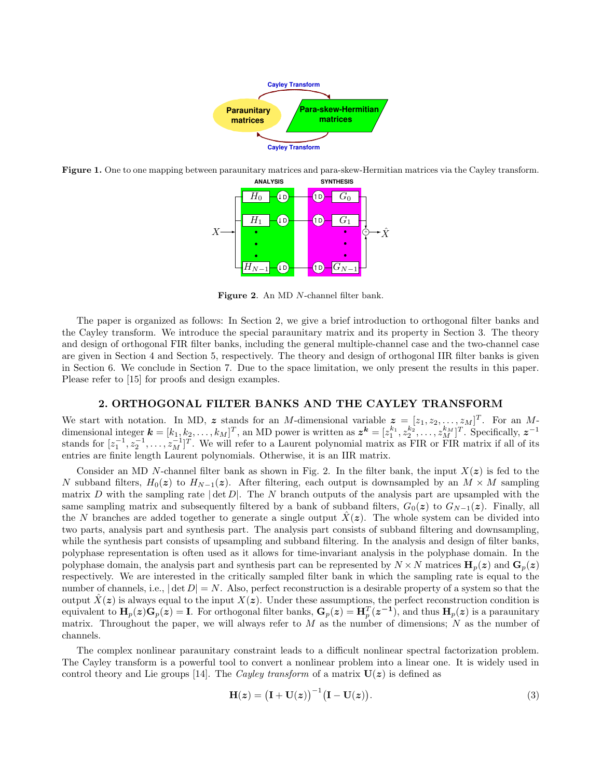

Figure 1. One to ope mapping between paraunitary matrices and para-skew-Hermitian matrices via the Cayley transform.



Figure 2. An MD N-channel filter bank.

The paper is organized as follows: In Section 2, we give a brief introduction to orthogonal filter banks and the Cayley transform. We introduce the special paraunitary matrix and its property in Section 3. The theory and design of orthogonal FIR filter banks, including the general multiple-channel case and the two-channel case are given in Section 4 and Section 5, respectively. The theory and design of orthogonal IIR filter banks is given in Section 6. We conclude in Section 7. Due to the space limitation, we only present the results in this paper. Please refer to [15] for proofs and design examples.

#### 2. ORTHOGONAL FILTER BANKS AND THE CAYLEY TRANSFORM

We start with notation. In MD, z stands for an M-dimensional variable  $z = [z_1, z_2, \ldots, z_M]^T$ . For an Mdimensional integer  $\mathbf{k} = [k_1, k_2, \dots, k_M]^T$ , an MD power is written as  $\mathbf{z}^{\mathbf{k}} = [z_1^{k_1}, z_2^{k_2}, \dots, z_M^{k_M}]^T$ . Specifically,  $\mathbf{z}^{-1}$ stands for  $[z_1^{-1}, z_2^{-1}, \ldots, z_M^{-1}]^T$ . We will refer to a Laurent polynomial matrix as FIR or FIR matrix if all of its entries are finite length Laurent polynomials. Otherwise, it is an IIR matrix.

Consider an MD N-channel filter bank as shown in Fig. 2. In the filter bank, the input  $X(z)$  is fed to the N subband filters,  $H_0(z)$  to  $H_{N-1}(z)$ . After filtering, each output is downsampled by an  $M \times M$  sampling matrix D with the sampling rate  $|\det D|$ . The N branch outputs of the analysis part are upsampled with the same sampling matrix and subsequently filtered by a bank of subband filters,  $G_0(z)$  to  $G_{N-1}(z)$ . Finally, all the N branches are added together to generate a single output  $\hat{X}(z)$ . The whole system can be divided into two parts, analysis part and synthesis part. The analysis part consists of subband filtering and downsampling, while the synthesis part consists of upsampling and subband filtering. In the analysis and design of filter banks, polyphase representation is often used as it allows for time-invariant analysis in the polyphase domain. In the polyphase domain, the analysis part and synthesis part can be represented by  $N \times N$  matrices  $\mathbf{H}_p(z)$  and  $\mathbf{G}_p(z)$ respectively. We are interested in the critically sampled filter bank in which the sampling rate is equal to the number of channels, i.e.,  $|\det D| = N$ . Also, perfect reconstruction is a desirable property of a system so that the output  $\hat{X}(z)$  is always equal to the input  $X(z)$ . Under these assumptions, the perfect reconstruction condition is equivalent to  $\mathbf{H}_p(z)\mathbf{G}_p(z) = \mathbf{I}$ . For orthogonal filter banks,  $\mathbf{G}_p(z) = \mathbf{H}_p^T(z^{-1})$ , and thus  $\mathbf{H}_p(z)$  is a paraunitary matrix. Throughout the paper, we will always refer to  $M$  as the number of dimensions;  $N$  as the number of channels.

The complex nonlinear paraunitary constraint leads to a difficult nonlinear spectral factorization problem. The Cayley transform is a powerful tool to convert a nonlinear problem into a linear one. It is widely used in control theory and Lie groups [14]. The *Cayley transform* of a matrix  $U(z)$  is defined as

$$
\mathbf{H}(z) = \left(\mathbf{I} + \mathbf{U}(z)\right)^{-1} \left(\mathbf{I} - \mathbf{U}(z)\right).
$$
 (3)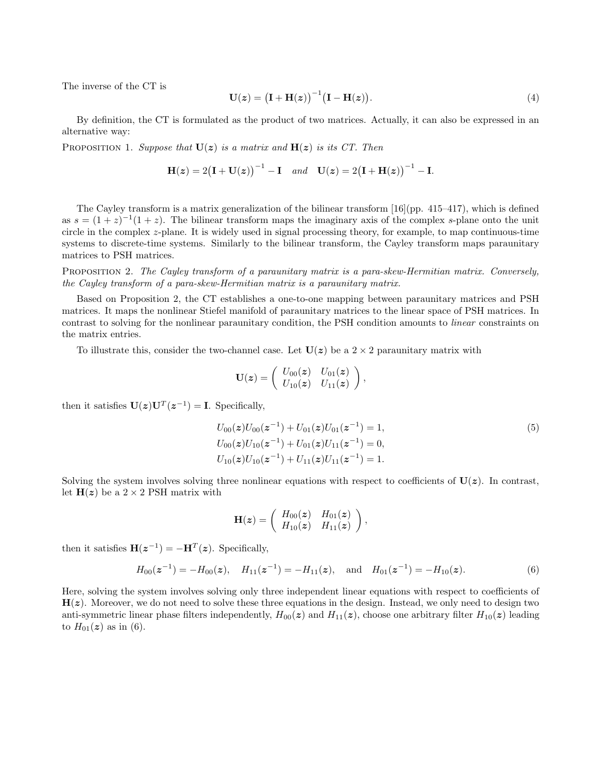The inverse of the CT is

$$
\mathbf{U}(z) = \left(\mathbf{I} + \mathbf{H}(z)\right)^{-1} \left(\mathbf{I} - \mathbf{H}(z)\right).
$$
 (4)

By definition, the CT is formulated as the product of two matrices. Actually, it can also be expressed in an alternative way:

PROPOSITION 1. Suppose that  $U(z)$  is a matrix and  $H(z)$  is its CT. Then

$$
\mathbf{H}(z) = 2(\mathbf{I} + \mathbf{U}(z))^{-1} - \mathbf{I} \quad and \quad \mathbf{U}(z) = 2(\mathbf{I} + \mathbf{H}(z))^{-1} - \mathbf{I}.
$$

The Cayley transform is a matrix generalization of the bilinear transform [16](pp. 415–417), which is defined as  $s = (1+z)^{-1}(1+z)$ . The bilinear transform maps the imaginary axis of the complex s-plane onto the unit circle in the complex z-plane. It is widely used in signal processing theory, for example, to map continuous-time systems to discrete-time systems. Similarly to the bilinear transform, the Cayley transform maps paraunitary matrices to PSH matrices.

PROPOSITION 2. The Cayley transform of a paraunitary matrix is a para-skew-Hermitian matrix. Conversely, the Cayley transform of a para-skew-Hermitian matrix is a paraunitary matrix.

Based on Proposition 2, the CT establishes a one-to-one mapping between paraunitary matrices and PSH matrices. It maps the nonlinear Stiefel manifold of paraunitary matrices to the linear space of PSH matrices. In contrast to solving for the nonlinear paraunitary condition, the PSH condition amounts to *linear* constraints on the matrix entries.

To illustrate this, consider the two-channel case. Let  $U(z)$  be a  $2 \times 2$  paraunitary matrix with

$$
\mathbf{U}(\boldsymbol{z}) = \left( \begin{array}{cc} U_{00}(\boldsymbol{z}) & U_{01}(\boldsymbol{z}) \\ U_{10}(\boldsymbol{z}) & U_{11}(\boldsymbol{z}) \end{array} \right),
$$

then it satisfies  $\mathbf{U}(z)\mathbf{U}^T(z^{-1}) = \mathbf{I}$ . Specifically,

$$
U_{00}(z)U_{00}(z^{-1}) + U_{01}(z)U_{01}(z^{-1}) = 1,
$$
  
\n
$$
U_{00}(z)U_{10}(z^{-1}) + U_{01}(z)U_{11}(z^{-1}) = 0,
$$
  
\n
$$
U_{10}(z)U_{10}(z^{-1}) + U_{11}(z)U_{11}(z^{-1}) = 1.
$$
\n
$$
(5)
$$

Solving the system involves solving three nonlinear equations with respect to coefficients of  $U(z)$ . In contrast, let  $H(z)$  be a  $2 \times 2$  PSH matrix with

$$
\mathbf{H}(\boldsymbol{z}) = \begin{pmatrix} H_{00}(\boldsymbol{z}) & H_{01}(\boldsymbol{z}) \\ H_{10}(\boldsymbol{z}) & H_{11}(\boldsymbol{z}) \end{pmatrix},
$$

then it satisfies  $\mathbf{H}(z^{-1}) = -\mathbf{H}^{T}(z)$ . Specifically,

$$
H_{00}(z^{-1}) = -H_{00}(z), \quad H_{11}(z^{-1}) = -H_{11}(z), \quad \text{and} \quad H_{01}(z^{-1}) = -H_{10}(z).
$$
 (6)

Here, solving the system involves solving only three independent linear equations with respect to coefficients of  $H(z)$ . Moreover, we do not need to solve these three equations in the design. Instead, we only need to design two anti-symmetric linear phase filters independently,  $H_{00}(z)$  and  $H_{11}(z)$ , choose one arbitrary filter  $H_{10}(z)$  leading to  $H_{01}(z)$  as in (6).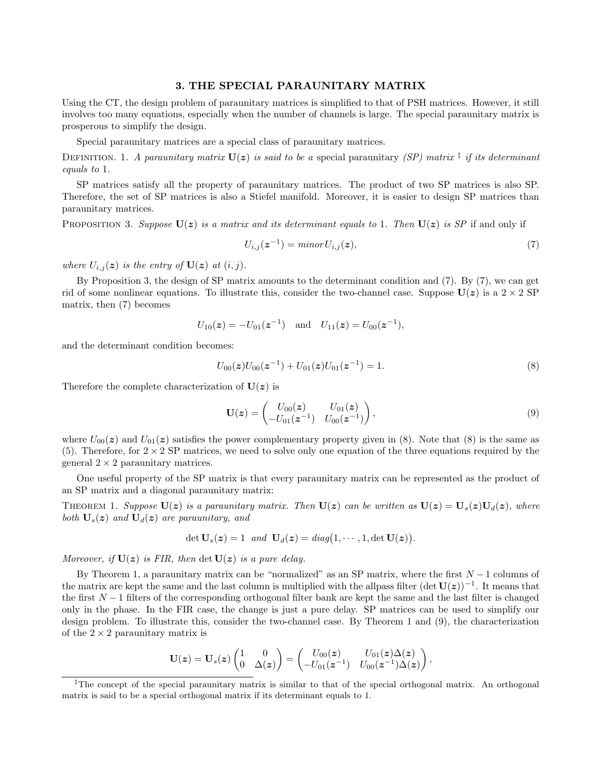## 3. THE SPECIAL PARAUNITARY MATRIX

Using the CT, the design problem of paraunitary matrices is simplified to that of PSH matrices. However, it still involves too many equations, especially when the number of channels is large. The special paraunitary matrix is prosperous to simplify the design.

Special paraunitary matrices are a special class of paraunitary matrices.

DEFINITION. 1. A paraunitary matrix  $\mathbf{U}(z)$  is said to be a special paraunitary (SP) matrix <sup>‡</sup> if its determinant equals to 1.

SP matrices satisfy all the property of paraunitary matrices. The product of two SP matrices is also SP. Therefore, the set of SP matrices is also a Stiefel manifold. Moreover, it is easier to design SP matrices than paraunitary matrices.

PROPOSITION 3. Suppose  $U(z)$  is a matrix and its determinant equals to 1. Then  $U(z)$  is SP if and only if

$$
U_{i,j}(z^{-1}) = \min or U_{i,j}(z),\tag{7}
$$

where  $U_{i,j}(z)$  is the entry of  $U(z)$  at  $(i, j)$ .

By Proposition 3, the design of SP matrix amounts to the determinant condition and (7). By (7), we can get rid of some nonlinear equations. To illustrate this, consider the two-channel case. Suppose  $U(z)$  is a  $2 \times 2$  SP matrix, then (7) becomes

$$
U_{10}(z) = -U_{01}(z^{-1})
$$
 and  $U_{11}(z) = U_{00}(z^{-1}),$ 

and the determinant condition becomes:

$$
U_{00}(z)U_{00}(z^{-1}) + U_{01}(z)U_{01}(z^{-1}) = 1.
$$
\n(8)

Therefore the complete characterization of  $U(z)$  is

$$
\mathbf{U}(\boldsymbol{z}) = \begin{pmatrix} U_{00}(\boldsymbol{z}) & U_{01}(\boldsymbol{z}) \\ -U_{01}(\boldsymbol{z}^{-1}) & U_{00}(\boldsymbol{z}^{-1}) \end{pmatrix}, \tag{9}
$$

where  $U_{00}(z)$  and  $U_{01}(z)$  satisfies the power complementary property given in (8). Note that (8) is the same as (5). Therefore, for  $2 \times 2$  SP matrices, we need to solve only one equation of the three equations required by the general  $2 \times 2$  paraunitary matrices.

One useful property of the SP matrix is that every paraunitary matrix can be represented as the product of an SP matrix and a diagonal paraunitary matrix:

THEOREM 1. Suppose  $U(z)$  is a paraunitary matrix. Then  $U(z)$  can be written as  $U(z) = U_s(z)U_d(z)$ , where both  $U_s(z)$  and  $U_d(z)$  are paraunitary, and

$$
\det \mathbf{U}_s(\boldsymbol{z})=1 \ \ and \ \mathbf{U}_d(\boldsymbol{z})=\text{diag}\big(1,\cdots,1,\det \mathbf{U}(\boldsymbol{z})\big).
$$

Moreover, if  $U(z)$  is FIR, then  $\det U(z)$  is a pure delay.

By Theorem 1, a paraunitary matrix can be "normalized" as an SP matrix, where the first  $N-1$  columns of the matrix are kept the same and the last column is multiplied with the allpass filter  $(\det U(z))^{-1}$ . It means that the first  $N-1$  filters of the corresponding orthogonal filter bank are kept the same and the last filter is changed only in the phase. In the FIR case, the change is just a pure delay. SP matrices can be used to simplify our design problem. To illustrate this, consider the two-channel case. By Theorem 1 and (9), the characterization of the  $2 \times 2$  paraunitary matrix is

$$
\mathbf{U}(\boldsymbol{z}) = \mathbf{U}_s(\boldsymbol{z}) \begin{pmatrix} 1 & 0 \\ 0 & \Delta(\boldsymbol{z}) \end{pmatrix} = \begin{pmatrix} U_{00}(\boldsymbol{z}) & U_{01}(\boldsymbol{z})\Delta(\boldsymbol{z}) \\ -U_{01}(\boldsymbol{z}^{-1}) & U_{00}(\boldsymbol{z}^{-1})\Delta(\boldsymbol{z}) \end{pmatrix},
$$

<sup>&</sup>lt;sup>‡</sup>The concept of the special paraunitary matrix is similar to that of the special orthogonal matrix. An orthogonal matrix is said to be a special orthogonal matrix if its determinant equals to 1.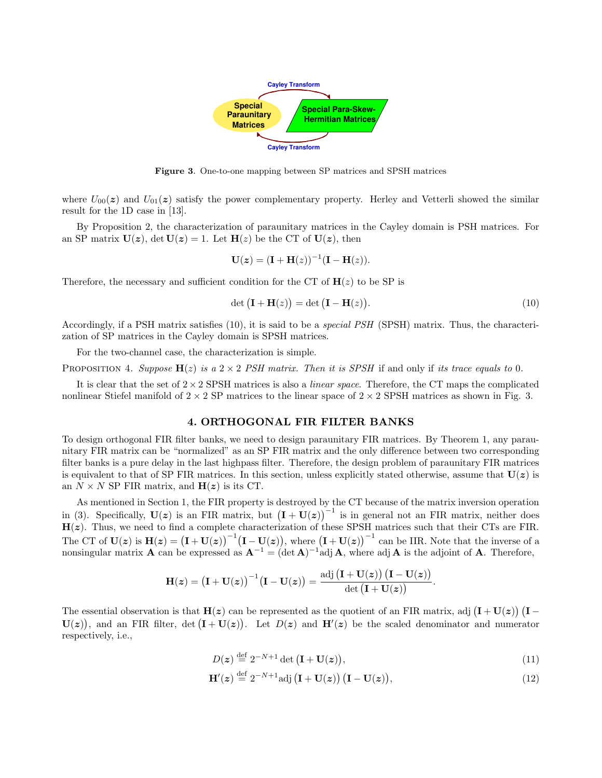

Figure 3. One-to-one mapping between SP matrices and SPSH matrices

where  $U_{00}(z)$  and  $U_{01}(z)$  satisfy the power complementary property. Herley and Vetterli showed the similar result for the 1D case in [13].

By Proposition 2, the characterization of paraunitary matrices in the Cayley domain is PSH matrices. For an SP matrix  $U(z)$ , det  $U(z) = 1$ . Let  $H(z)$  be the CT of  $U(z)$ , then

$$
\mathbf{U}(\boldsymbol{z}) = (\mathbf{I} + \mathbf{H}(z))^{-1}(\mathbf{I} - \mathbf{H}(z)).
$$

Therefore, the necessary and sufficient condition for the CT of  $H(z)$  to be SP is

$$
\det (\mathbf{I} + \mathbf{H}(z)) = \det (\mathbf{I} - \mathbf{H}(z)).
$$
\n(10)

Accordingly, if a PSH matrix satisfies (10), it is said to be a *special PSH* (SPSH) matrix. Thus, the characterization of SP matrices in the Cayley domain is SPSH matrices.

For the two-channel case, the characterization is simple.

PROPOSITION 4. Suppose  $H(z)$  is a  $2 \times 2$  PSH matrix. Then it is SPSH if and only if its trace equals to 0.

It is clear that the set of  $2 \times 2$  SPSH matrices is also a *linear space*. Therefore, the CT maps the complicated nonlinear Stiefel manifold of  $2 \times 2$  SP matrices to the linear space of  $2 \times 2$  SPSH matrices as shown in Fig. 3.

#### 4. ORTHOGONAL FIR FILTER BANKS

To design orthogonal FIR filter banks, we need to design paraunitary FIR matrices. By Theorem 1, any paraunitary FIR matrix can be "normalized" as an SP FIR matrix and the only difference between two corresponding filter banks is a pure delay in the last highpass filter. Therefore, the design problem of paraunitary FIR matrices is equivalent to that of SP FIR matrices. In this section, unless explicitly stated otherwise, assume that  $U(z)$  is an  $N \times N$  SP FIR matrix, and  $H(z)$  is its CT.

As mentioned in Section 1, the FIR property is destroyed by the CT because of the matrix inversion operation in (3). Specifically,  $U(z)$  is an FIR matrix, but  $(I + U(z))^{-1}$  is in general not an FIR matrix, neither does  $H(z)$ . Thus, we need to find a complete characterization of these SPSH matrices such that their CTs are FIR. The CT of  $U(z)$  is  $H(z) = (I + U(z))^{-1} (I - U(z)),$  where  $(I + U(z))^{-1}$  can be IIR. Note that the inverse of a nonsingular matrix **A** can be expressed as  $A^{-1} = (\det A)^{-1}$ adj **A**, where adj **A** is the adjoint of **A**. Therefore,

$$
\mathbf{H}(\boldsymbol{z}) = \big(\mathbf{I} + \mathbf{U}(\boldsymbol{z})\big)^{-1} \big(\mathbf{I} - \mathbf{U}(\boldsymbol{z})\big) = \frac{\mathrm{adj}\, \big(\mathbf{I} + \mathbf{U}(\boldsymbol{z})\big)\, \big(\mathbf{I} - \mathbf{U}(\boldsymbol{z})\big)}{\det\big(\mathbf{I} + \mathbf{U}(\boldsymbol{z})\big)}.
$$

The essential observation is that  $H(z)$  can be represented as the quotient of an FIR matrix, adj  $(I + U(z)) (I U(z)$ , and an FIR filter, det  $(I + U(z))$ . Let  $D(z)$  and  $H'(z)$  be the scaled denominator and numerator respectively, i.e.,

$$
D(z) \stackrel{\text{def}}{=} 2^{-N+1} \det \left( \mathbf{I} + \mathbf{U}(z) \right),\tag{11}
$$

$$
\mathbf{H}'(z) \stackrel{\text{def}}{=} 2^{-N+1} \text{adj} \left( \mathbf{I} + \mathbf{U}(z) \right) \left( \mathbf{I} - \mathbf{U}(z) \right), \tag{12}
$$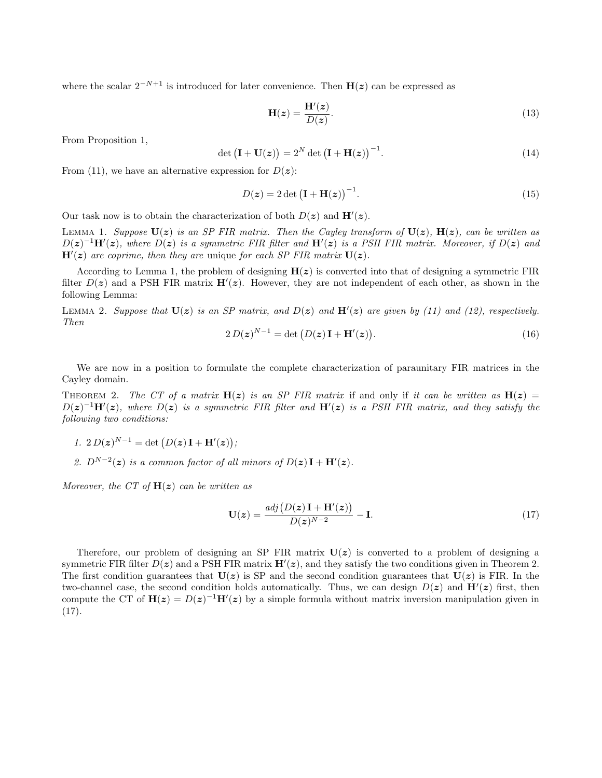where the scalar  $2^{-N+1}$  is introduced for later convenience. Then  $H(z)$  can be expressed as

$$
\mathbf{H}(z) = \frac{\mathbf{H}'(z)}{D(z)}.\tag{13}
$$

From Proposition 1,

$$
\det\left(\mathbf{I} + \mathbf{U}(z)\right) = 2^N \det\left(\mathbf{I} + \mathbf{H}(z)\right)^{-1}.\tag{14}
$$

From (11), we have an alternative expression for  $D(z)$ :

$$
D(z) = 2 \det \left( \mathbf{I} + \mathbf{H}(z) \right)^{-1}.
$$
 (15)

Our task now is to obtain the characterization of both  $D(z)$  and  $H'(z)$ .

LEMMA 1. Suppose  $U(z)$  is an SP FIR matrix. Then the Cayley transform of  $U(z)$ ,  $H(z)$ , can be written as  $D(z)^{-1}H'(z)$ , where  $D(z)$  is a symmetric FIR filter and  $H'(z)$  is a PSH FIR matrix. Moreover, if  $D(z)$  and  $H'(z)$  are coprime, then they are unique for each SP FIR matrix  $U(z)$ .

According to Lemma 1, the problem of designing  $H(z)$  is converted into that of designing a symmetric FIR filter  $D(z)$  and a PSH FIR matrix  $\mathbf{H}'(z)$ . However, they are not independent of each other, as shown in the following Lemma:

LEMMA 2. Suppose that  $U(z)$  is an SP matrix, and  $D(z)$  and  $H'(z)$  are given by (11) and (12), respectively. Then

$$
2 D(z)^{N-1} = \det \left( D(z) \mathbf{I} + \mathbf{H}'(z) \right). \tag{16}
$$

We are now in a position to formulate the complete characterization of paraunitary FIR matrices in the Cayley domain.

THEOREM 2. The CT of a matrix  $H(z)$  is an SP FIR matrix if and only if it can be written as  $H(z)$  =  $D(z)^{-1}H'(z)$ , where  $D(z)$  is a symmetric FIR filter and  $H'(z)$  is a PSH FIR matrix, and they satisfy the following two conditions:

- 1. 2  $D(z)^{N-1} = \det(D(z) \mathbf{I} + \mathbf{H}'(z));$
- 2.  $D^{N-2}(z)$  is a common factor of all minors of  $D(z) \mathbf{I} + \mathbf{H}'(z)$ .

Moreover, the CT of  $H(z)$  can be written as

$$
\mathbf{U}(z) = \frac{adj(D(z)\mathbf{I} + \mathbf{H}'(z))}{D(z)^{N-2}} - \mathbf{I}.
$$
\n(17)

Therefore, our problem of designing an SP FIR matrix  $U(z)$  is converted to a problem of designing a symmetric FIR filter  $D(z)$  and a PSH FIR matrix  $\mathbf{H}'(z)$ , and they satisfy the two conditions given in Theorem 2. The first condition guarantees that  $U(z)$  is SP and the second condition guarantees that  $U(z)$  is FIR. In the two-channel case, the second condition holds automatically. Thus, we can design  $D(z)$  and  $H'(z)$  first, then compute the CT of  $H(z) = D(z)^{-1}H'(z)$  by a simple formula without matrix inversion manipulation given in (17).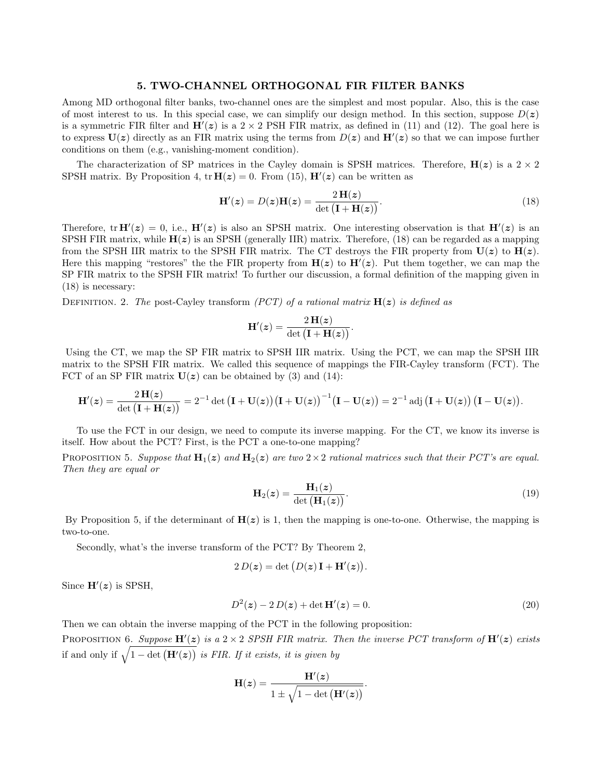### 5. TWO-CHANNEL ORTHOGONAL FIR FILTER BANKS

Among MD orthogonal filter banks, two-channel ones are the simplest and most popular. Also, this is the case of most interest to us. In this special case, we can simplify our design method. In this section, suppose  $D(z)$ is a symmetric FIR filter and  $H'(z)$  is a 2 × 2 PSH FIR matrix, as defined in (11) and (12). The goal here is to express  $U(z)$  directly as an FIR matrix using the terms from  $D(z)$  and  $H'(z)$  so that we can impose further conditions on them (e.g., vanishing-moment condition).

The characterization of SP matrices in the Cayley domain is SPSH matrices. Therefore,  $H(z)$  is a  $2 \times 2$ SPSH matrix. By Proposition 4,  $tr H(z) = 0$ . From (15),  $H'(z)$  can be written as

$$
\mathbf{H}'(z) = D(z)\mathbf{H}(z) = \frac{2\,\mathbf{H}(z)}{\det\left(\mathbf{I} + \mathbf{H}(z)\right)}.
$$
\n(18)

Therefore,  $tr H'(z) = 0$ , i.e.,  $H'(z)$  is also an SPSH matrix. One interesting observation is that  $H'(z)$  is an SPSH FIR matrix, while  $H(z)$  is an SPSH (generally IIR) matrix. Therefore, (18) can be regarded as a mapping from the SPSH IIR matrix to the SPSH FIR matrix. The CT destroys the FIR property from  $U(z)$  to  $H(z)$ . Here this mapping "restores" the the FIR property from  $H(z)$  to  $H'(z)$ . Put them together, we can map the SP FIR matrix to the SPSH FIR matrix! To further our discussion, a formal definition of the mapping given in (18) is necessary:

DEFINITION. 2. The post-Cayley transform (PCT) of a rational matrix  $H(z)$  is defined as

$$
\mathbf{H}'(z) = \frac{2 \, \mathbf{H}(z)}{\det(\mathbf{I} + \mathbf{H}(z))}.
$$

Using the CT, we map the SP FIR matrix to SPSH IIR matrix. Using the PCT, we can map the SPSH IIR matrix to the SPSH FIR matrix. We called this sequence of mappings the FIR-Cayley transform (FCT). The FCT of an SP FIR matrix  $U(z)$  can be obtained by (3) and (14):

$$
\mathbf{H}'(z)=\frac{2\,\mathbf{H}(z)}{\det\big(\mathbf{I}+\mathbf{H}(z)\big)}=2^{-1}\det\big(\mathbf{I}+\mathbf{U}(z)\big)\big(\mathbf{I}+\mathbf{U}(z)\big)^{-1}\big(\mathbf{I}-\mathbf{U}(z)\big)=2^{-1}\operatorname{adj}\big(\mathbf{I}+\mathbf{U}(z)\big)\,\big(\mathbf{I}-\mathbf{U}(z)\big).
$$

To use the FCT in our design, we need to compute its inverse mapping. For the CT, we know its inverse is itself. How about the PCT? First, is the PCT a one-to-one mapping?

PROPOSITION 5. Suppose that  $H_1(z)$  and  $H_2(z)$  are two  $2 \times 2$  rational matrices such that their PCT's are equal. Then they are equal or

$$
\mathbf{H}_2(z) = \frac{\mathbf{H}_1(z)}{\det(\mathbf{H}_1(z))}.
$$
\n(19)

By Proposition 5, if the determinant of  $H(z)$  is 1, then the mapping is one-to-one. Otherwise, the mapping is two-to-one.

Secondly, what's the inverse transform of the PCT? By Theorem 2,

$$
2 D(z) = \det (D(z) \mathbf{I} + \mathbf{H}'(z)).
$$

Since  $H'(z)$  is SPSH,

$$
D^{2}(z) - 2 D(z) + \det \mathbf{H}'(z) = 0.
$$
 (20)

Then we can obtain the inverse mapping of the PCT in the following proposition:

PROPOSITION 6. Suppose  $H'(z)$  is a 2 × 2 SPSH FIR matrix. Then the inverse PCT transform of  $H'(z)$  exists if and only if  $\sqrt{1 - \det (\mathbf{H}'(z))}$  is FIR. If it exists, it is given by

$$
\mathbf{H}(z) = \frac{\mathbf{H}'(z)}{1 \pm \sqrt{1 - \det\left(\mathbf{H}'(z)\right)}}.
$$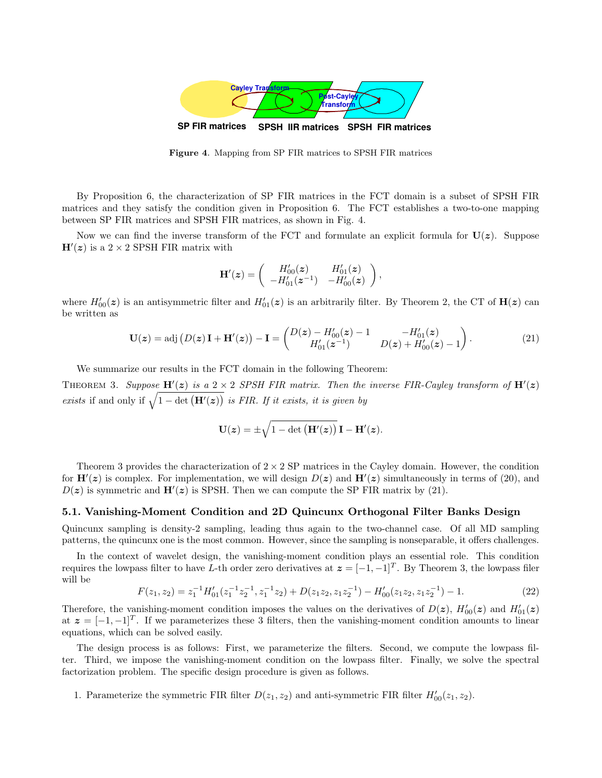

Figure 4. Mapping from SP FIR matrices to SPSH FIR matrices

By Proposition 6, the characterization of SP FIR matrices in the FCT domain is a subset of SPSH FIR matrices and they satisfy the condition given in Proposition 6. The FCT establishes a two-to-one mapping between SP FIR matrices and SPSH FIR matrices, as shown in Fig. 4.

Now we can find the inverse transform of the FCT and formulate an explicit formula for  $U(z)$ . Suppose  $H'(z)$  is a 2 × 2 SPSH FIR matrix with

$$
\mathbf{H}'(z) = \begin{pmatrix} H'_{00}(z) & H'_{01}(z) \\ -H'_{01}(z^{-1}) & -H'_{00}(z) \end{pmatrix},
$$

where  $H'_{00}(z)$  is an antisymmetric filter and  $H'_{01}(z)$  is an arbitrarily filter. By Theorem 2, the CT of  $H(z)$  can be written as

$$
\mathbf{U}(\mathbf{z}) = \text{adj}\left(D(\mathbf{z})\,\mathbf{I} + \mathbf{H}'(\mathbf{z})\right) - \mathbf{I} = \begin{pmatrix} D(\mathbf{z}) - H'_{00}(\mathbf{z}) - 1 & -H'_{01}(\mathbf{z}) \\ H'_{01}(\mathbf{z}^{-1}) & D(\mathbf{z}) + H'_{00}(\mathbf{z}) - 1 \end{pmatrix}.
$$
 (21)

We summarize our results in the FCT domain in the following Theorem:

THEOREM 3. Suppose  $H'(z)$  is a 2 × 2 SPSH FIR matrix. Then the inverse FIR-Cayley transform of  $H'(z)$ exists if and only if  $\sqrt{1 - \det (\mathbf{H}'(\mathbf{z}))}$  is FIR. If it exists, it is given by

$$
\mathbf{U}(\boldsymbol{z}) = \pm \sqrt{1 - \det\left(\mathbf{H}'(\boldsymbol{z})\right)} \, \mathbf{I} - \mathbf{H}'(\boldsymbol{z}).
$$

Theorem 3 provides the characterization of  $2 \times 2$  SP matrices in the Cayley domain. However, the condition for  $\mathbf{H}'(z)$  is complex. For implementation, we will design  $D(z)$  and  $\mathbf{H}'(z)$  simultaneously in terms of (20), and  $D(z)$  is symmetric and  $\mathbf{H}'(z)$  is SPSH. Then we can compute the SP FIR matrix by (21).

#### 5.1. Vanishing-Moment Condition and 2D Quincunx Orthogonal Filter Banks Design

Quincunx sampling is density-2 sampling, leading thus again to the two-channel case. Of all MD sampling patterns, the quincunx one is the most common. However, since the sampling is nonseparable, it offers challenges.

In the context of wavelet design, the vanishing-moment condition plays an essential role. This condition requires the lowpass filter to have L-th order zero derivatives at  $\boldsymbol{z} = [-1, -1]^T$ . By Theorem 3, the lowpass filer will be

$$
F(z_1, z_2) = z_1^{-1} H'_{01}(z_1^{-1} z_2^{-1}, z_1^{-1} z_2) + D(z_1 z_2, z_1 z_2^{-1}) - H'_{00}(z_1 z_2, z_1 z_2^{-1}) - 1.
$$
\n
$$
(22)
$$

Therefore, the vanishing-moment condition imposes the values on the derivatives of  $D(z)$ ,  $H'_{00}(z)$  and  $H'_{01}(z)$ at  $z = [-1, -1]^T$ . If we parameterizes these 3 filters, then the vanishing-moment condition amounts to linear equations, which can be solved easily.

The design process is as follows: First, we parameterize the filters. Second, we compute the lowpass filter. Third, we impose the vanishing-moment condition on the lowpass filter. Finally, we solve the spectral factorization problem. The specific design procedure is given as follows.

1. Parameterize the symmetric FIR filter  $D(z_1, z_2)$  and anti-symmetric FIR filter  $H'_{00}(z_1, z_2)$ .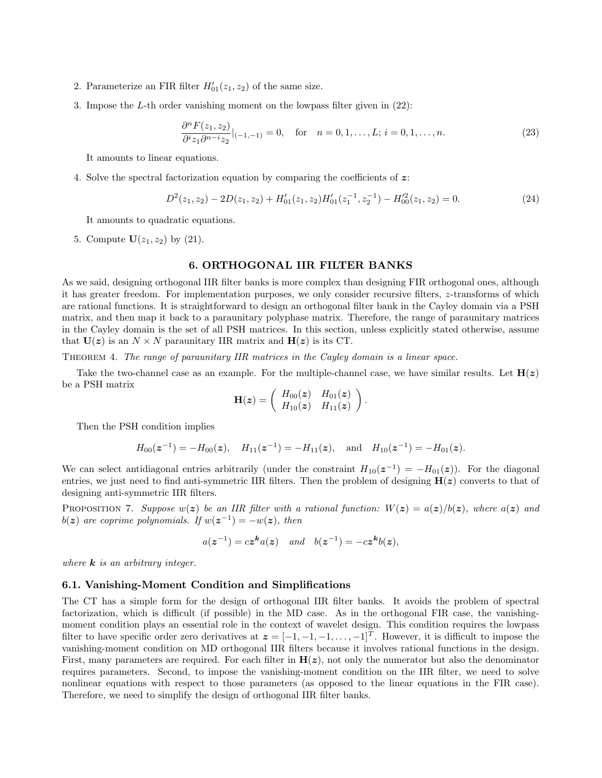- 2. Parameterize an FIR filter  $H'_{01}(z_1, z_2)$  of the same size.
- 3. Impose the L-th order vanishing moment on the lowpass filter given in (22):

$$
\frac{\partial^n F(z_1, z_2)}{\partial^i z_1 \partial^{n-i} z_2}|_{(-1, -1)} = 0, \quad \text{for} \quad n = 0, 1, \dots, L; \, i = 0, 1, \dots, n. \tag{23}
$$

It amounts to linear equations.

4. Solve the spectral factorization equation by comparing the coefficients of z:

$$
D^{2}(z_{1}, z_{2}) - 2D(z_{1}, z_{2}) + H'_{01}(z_{1}, z_{2})H'_{01}(z_{1}^{-1}, z_{2}^{-1}) - H'_{00}(z_{1}, z_{2}) = 0.
$$
\n(24)

.

It amounts to quadratic equations.

5. Compute  $U(z_1, z_2)$  by (21).

## 6. ORTHOGONAL IIR FILTER BANKS

As we said, designing orthogonal IIR filter banks is more complex than designing FIR orthogonal ones, although it has greater freedom. For implementation purposes, we only consider recursive filters, z-transforms of which are rational functions. It is straightforward to design an orthogonal filter bank in the Cayley domain via a PSH matrix, and then map it back to a paraunitary polyphase matrix. Therefore, the range of paraunitary matrices in the Cayley domain is the set of all PSH matrices. In this section, unless explicitly stated otherwise, assume that  $U(z)$  is an  $N \times N$  paraunitary IIR matrix and  $H(z)$  is its CT.

THEOREM 4. The range of paraunitary IIR matrices in the Cayley domain is a linear space.

Take the two-channel case as an example. For the multiple-channel case, we have similar results. Let  $H(z)$ be a PSH matrix

$$
\mathbf{H}(\boldsymbol{z}) = \left(\begin{array}{cc} H_{00}(\boldsymbol{z}) & H_{01}(\boldsymbol{z}) \\ H_{10}(\boldsymbol{z}) & H_{11}(\boldsymbol{z}) \end{array}\right)
$$

Then the PSH condition implies

$$
H_{00}(\mathbf{z}^{-1}) = -H_{00}(\mathbf{z}), \quad H_{11}(\mathbf{z}^{-1}) = -H_{11}(\mathbf{z}), \quad \text{and} \quad H_{10}(\mathbf{z}^{-1}) = -H_{01}(\mathbf{z}).
$$

We can select antidiagonal entries arbitrarily (under the constraint  $H_{10}(z^{-1}) = -H_{01}(z)$ ). For the diagonal entries, we just need to find anti-symmetric IIR filters. Then the problem of designing  $H(z)$  converts to that of designing anti-symmetric IIR filters.

PROPOSITION 7. Suppose  $w(z)$  be an IIR filter with a rational function:  $W(z) = a(z)/b(z)$ , where  $a(z)$  and  $b(z)$  are coprime polynomials. If  $w(z^{-1}) = -w(z)$ , then

$$
a(\boldsymbol{z}^{-1}) = c\boldsymbol{z}^{\boldsymbol{k}}a(\boldsymbol{z}) \quad and \quad b(\boldsymbol{z}^{-1}) = -c\boldsymbol{z}^{\boldsymbol{k}}b(\boldsymbol{z}),
$$

where  $\boldsymbol{k}$  is an arbitrary integer.

#### 6.1. Vanishing-Moment Condition and Simplifications

The CT has a simple form for the design of orthogonal IIR filter banks. It avoids the problem of spectral factorization, which is difficult (if possible) in the MD case. As in the orthogonal FIR case, the vanishingmoment condition plays an essential role in the context of wavelet design. This condition requires the lowpass filter to have specific order zero derivatives at  $\boldsymbol{z} = [-1, -1, -1, \dots, -1]^T$ . However, it is difficult to impose the vanishing-moment condition on MD orthogonal IIR filters because it involves rational functions in the design. First, many parameters are required. For each filter in  $H(z)$ , not only the numerator but also the denominator requires parameters. Second, to impose the vanishing-moment condition on the IIR filter, we need to solve nonlinear equations with respect to those parameters (as opposed to the linear equations in the FIR case). Therefore, we need to simplify the design of orthogonal IIR filter banks.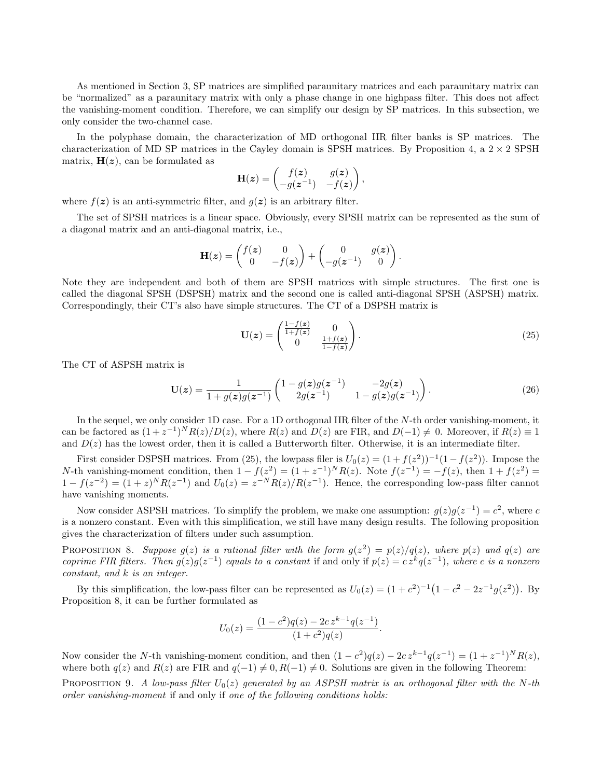As mentioned in Section 3, SP matrices are simplified paraunitary matrices and each paraunitary matrix can be "normalized" as a paraunitary matrix with only a phase change in one highpass filter. This does not affect the vanishing-moment condition. Therefore, we can simplify our design by SP matrices. In this subsection, we only consider the two-channel case.

In the polyphase domain, the characterization of MD orthogonal IIR filter banks is SP matrices. The characterization of MD SP matrices in the Cayley domain is SPSH matrices. By Proposition 4, a  $2 \times 2$  SPSH matrix,  $H(z)$ , can be formulated as

$$
\mathbf{H}(\boldsymbol{z}) = \begin{pmatrix} f(\boldsymbol{z}) & g(\boldsymbol{z}) \\ -g(\boldsymbol{z}^{-1}) & -f(\boldsymbol{z}) \end{pmatrix},
$$

where  $f(z)$  is an anti-symmetric filter, and  $q(z)$  is an arbitrary filter.

The set of SPSH matrices is a linear space. Obviously, every SPSH matrix can be represented as the sum of a diagonal matrix and an anti-diagonal matrix, i.e.,

$$
\mathbf{H}(\boldsymbol{z}) = \begin{pmatrix} f(\boldsymbol{z}) & 0 \\ 0 & -f(\boldsymbol{z}) \end{pmatrix} + \begin{pmatrix} 0 & g(\boldsymbol{z}) \\ -g(\boldsymbol{z}^{-1}) & 0 \end{pmatrix}.
$$

Note they are independent and both of them are SPSH matrices with simple structures. The first one is called the diagonal SPSH (DSPSH) matrix and the second one is called anti-diagonal SPSH (ASPSH) matrix. Correspondingly, their CT's also have simple structures. The CT of a DSPSH matrix is

$$
\mathbf{U}(\boldsymbol{z}) = \begin{pmatrix} \frac{1-f(\boldsymbol{z})}{1+f(\boldsymbol{z})} & 0\\ 0 & \frac{1+f(\boldsymbol{z})}{1-f(\boldsymbol{z})} \end{pmatrix} . \tag{25}
$$

The CT of ASPSH matrix is

$$
\mathbf{U}(z) = \frac{1}{1 + g(z)g(z^{-1})} \begin{pmatrix} 1 - g(z)g(z^{-1}) & -2g(z) \\ 2g(z^{-1}) & 1 - g(z)g(z^{-1}) \end{pmatrix}.
$$
 (26)

In the sequel, we only consider 1D case. For a 1D orthogonal IIR filter of the N-th order vanishing-moment, it can be factored as  $(1+z^{-1})^N R(z)/D(z)$ , where  $R(z)$  and  $D(z)$  are FIR, and  $D(-1) \neq 0$ . Moreover, if  $R(z) \equiv 1$ and  $D(z)$  has the lowest order, then it is called a Butterworth filter. Otherwise, it is an intermediate filter.

First consider DSPSH matrices. From (25), the lowpass filer is  $U_0(z) = (1 + f(z^2))^{-1}(1 - f(z^2))$ . Impose the N-th vanishing-moment condition, then  $1 - f(z^2) = (1 + z^{-1})^N R(z)$ . Note  $f(z^{-1}) = -f(z)$ , then  $1 + f(z^2) =$  $1 - f(z^{-2}) = (1 + z)^N R(z^{-1})$  and  $U_0(z) = z^{-N} R(z)/R(z^{-1})$ . Hence, the corresponding low-pass filter cannot have vanishing moments.

Now consider ASPSH matrices. To simplify the problem, we make one assumption:  $g(z)g(z^{-1}) = c^2$ , where c is a nonzero constant. Even with this simplification, we still have many design results. The following proposition gives the characterization of filters under such assumption.

PROPOSITION 8. Suppose  $g(z)$  is a rational filter with the form  $g(z^2) = p(z)/q(z)$ , where  $p(z)$  and  $q(z)$  are coprime FIR filters. Then  $g(z)g(z^{-1})$  equals to a constant if and only if  $p(z) = c z^k q(z^{-1})$ , where c is a nonzero constant, and k is an integer.

By this simplification, the low-pass filter can be represented as  $U_0(z) = (1+c^2)^{-1}(1-c^2-2z^{-1}g(z^2))$ . By Proposition 8, it can be further formulated as

$$
U_0(z) = \frac{(1 - c^2)q(z) - 2cz^{k-1}q(z^{-1})}{(1 + c^2)q(z)}.
$$

Now consider the N-th vanishing-moment condition, and then  $(1 - c^2)q(z) - 2cz^{k-1}q(z^{-1}) = (1 + z^{-1})^N R(z)$ , where both  $q(z)$  and  $R(z)$  are FIR and  $q(-1) \neq 0, R(-1) \neq 0$ . Solutions are given in the following Theorem:

PROPOSITION 9. A low-pass filter  $U_0(z)$  generated by an ASPSH matrix is an orthogonal filter with the N-th order vanishing-moment if and only if one of the following conditions holds: